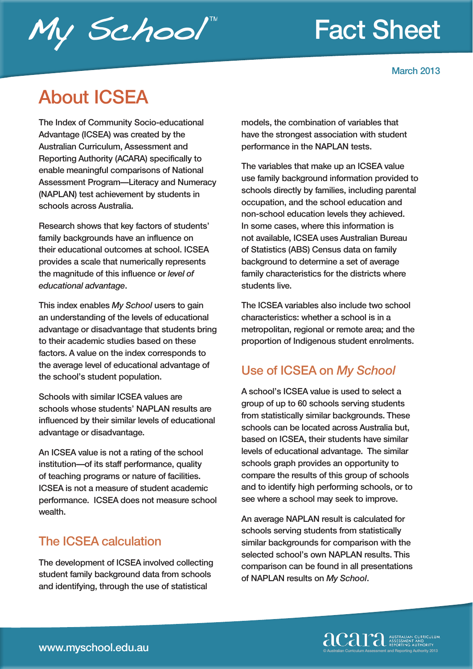## Fact Sheet



# My School"

### About ICSEA

The Index of Community Socio-educational Advantage (ICSEA) was created by the Australian Curriculum, Assessment and Reporting Authority (ACARA) specifically to enable meaningful comparisons of National Assessment Program—Literacy and Numeracy (NAPLAN) test achievement by students in schools across Australia.

Research shows that key factors of students' family backgrounds have an influence on their educational outcomes at school. ICSEA provides a scale that numerically represents the magnitude of this influence or *level of educational advantage*.

This index enables *My School* users to gain an understanding of the levels of educational advantage or disadvantage that students bring to their academic studies based on these factors. A value on the index corresponds to the average level of educational advantage of the school's student population.

Schools with similar ICSEA values are schools whose students' NAPLAN results are influenced by their similar levels of educational advantage or disadvantage.

An ICSEA value is not a rating of the school institution—of its staff performance, quality of teaching programs or nature of facilities. ICSEA is not a measure of student academic performance. ICSEA does not measure school wealth.

#### The ICSEA calculation

The development of ICSEA involved collecting student family background data from schools and identifying, through the use of statistical

models, the combination of variables that have the strongest association with student performance in the NAPLAN tests.

The variables that make up an ICSEA value use family background information provided to schools directly by families, including parental occupation, and the school education and non-school education levels they achieved. In some cases, where this information is not available, ICSEA uses Australian Bureau of Statistics (ABS) Census data on family background to determine a set of average family characteristics for the districts where students live.

The ICSEA variables also include two school characteristics: whether a school is in a metropolitan, regional or remote area; and the proportion of Indigenous student enrolments.

#### Use of ICSEA on *My School*

A school's ICSEA value is used to select a group of up to 60 schools serving students from statistically similar backgrounds. These schools can be located across Australia but, based on ICSEA, their students have similar levels of educational advantage. The similar schools graph provides an opportunity to compare the results of this group of schools and to identify high performing schools, or to see where a school may seek to improve.

An average NAPLAN result is calculated for schools serving students from statistically similar backgrounds for comparison with the selected school's own NAPLAN results. This comparison can be found in all presentations of NAPLAN results on *My School*.